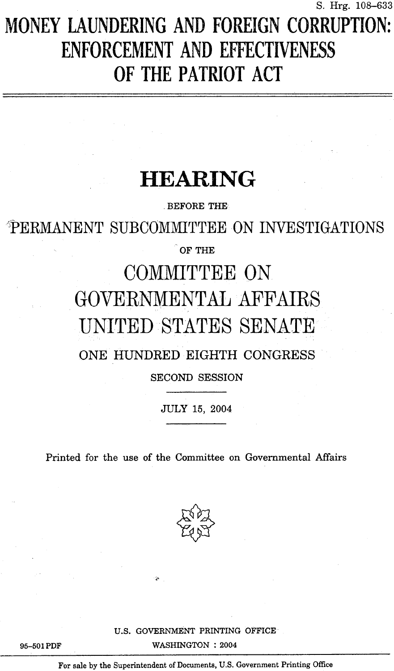# S. Hrg. 108-633<br>MONEY LAUNDERING AND FOREIGN CORRUPTION: ENFORCEMENT AND EFFECTIVENESS OF THE PATRIOT ACT

## HEARING

BEFORE THE

**PERMANENT SUBCOMMITTEE ON INVESTIGATIONS** 

 $\degree$  OF THE

# COMMITTEE ON GOVERNMENTAL AFFAIRS UNITED STATES SENATE

#### ONE HUNDRED EIGHTH CONGRESS

SECOND SESSION

JULY 15, 2004

Printed for the use of the Committee on Governmental Affairs



U.S. GOVERNMÉNT PRINTING OFFICE WASHINGTON : 2004

95-501 PDF

For sale by the Superintendent of Documents, U .S. Government Printing Office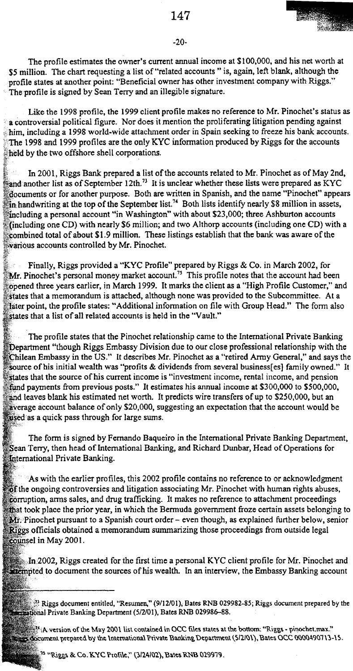#### -20-

The profile estimates the owner's current annual income at \$100,000, and his net worth at \$5 million. The chart requesting a list of "related accounts" is, again, left blank, although the profile states at another point: "Beneficial owner has other investment company with Riggs." The profile is signed by Sean Terry and an illegible signature.

Like the 1998 profile, the 1999 client profile makes no reference to Mr . Pinochet's status as a controversia) political figure. Nor does it mention the proliferating litigation pending against him, including a 1998 world-wíde attachment order in Spain seeking to freeze his bank accounts . ' The 1998 and 1999 profiles are the only KYC information produced by Riggs for the accounts held by the two offshore shell corporations.

In 2001, Riggs Bank prepared a list of the accounts related to Mr. Pinochet as of May 2nd, and another list as of September 12th.<sup>73</sup> It is unclear whether these lists were prepared as KYC documents or for another purpose . Both are written in Spanish, and the name "Pinochet" appears in handwriting at the top of the September list.<sup>74</sup> Both lists identify nearly \$8 million in assets, including a personal account "in Washington" with about \$23,000; three Ashburton accounts (including one CD) with nearly \$6 million ; and two Althorp accounts (including one CD) with a combined total of about \$1 .9 million. These listings establish that the bank was aware of the various accounts controlled by Mr. Pinochet .

Finally, Riggs provided a "KYC Profile" prepared by Riggs & Co . in March 2002, for  $Mr$ . Pinochet's personal money market account.<sup>75</sup> This profile notes that the account had been opened three years carlier, in March 1999 . It marks the client as a "High Profile Customer," and states that a memorandum is attached, although none was provided to the Subcommittee . At a later point, the profile states: "Additional information on file with Group Head." The form also states that a list of all related accounts is held in the "Vault."

The profile states that the Pinochet relationship carne to the Intemational Private Banking Department "though Riggs Embassy Division due to our close professional relationship with the Chilean Embassy in the US." It describes Mr. Pinochet as a "retired Army General," and says the source of his initial wealth was "profits & dividends from several business[es] family owned." It states that the source of his current income is "investment income, rental income, and pension fund payments from previous posts ." It estimates his annual income at \$300,000 to \$500,000, and leaves blank his estimated net worth. It predicts wire transfers of up to \$250,000, but an average account balance of only \$20,000, suggesting an expectation that the account would be sed as a quick pass through for large sums.

The form is signed by Fernando Baqueiro in the International Private Banking Department, Sean Terry, then head of International Banking, and Richard Dunbar, Head of Operations for Intemational Private Banking.

As with the earlier profiles, this 2002 profile contains no reference to or acknowledgment f the ongoing controversies and litigation associating Mr . Pinochet with human rights abuses, corruption, arma sales, and drug trafficking. It makes no reference to attachment proceedings that took place the prior year, in which the Bermuda government froze certain assets belonging to  $M$ : Pinochet pursuant to a Spanish court order - even though, as explained further below, senior Riggs officials obtained a memorandum summarizing those proceedings from outside legal counsel in May 2001.

In-2002, Riggs created for the first time a personal KYC client profile for Mr. Pinochet and teen the sources of his wealth. In an interview, the Embassy Banking account

Riggs document entitied, "Resumen," (9112101), Bates RNB 029982-85 ; Riggs document prepared by the ational Private Banking Department (5/2/01), Bates RNB 029986-88.

A-version of the May 2001 list contained in OCC mes states at the bottom: "Riggs - pinochet .max ." cocument prepared by the International Private Banking Department (5/2/01), Bates OCC 0000490713-15.

<sup>35</sup> "Riggs & Co. KYC Profile," (3/24/02), Bates RNB 029979.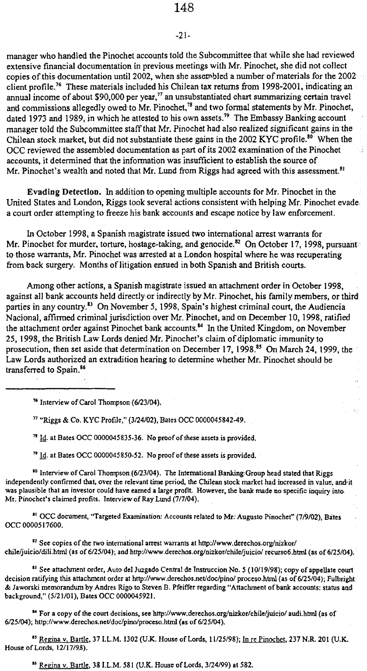#### -21-

manager who handled the Pinochet accounts toid the Subcommittee that while she had reviewed extensive fmancial documentation in previous meetings with Mr . Pinochet, she did not collect copies of this documentation until 2002, when she assert bled a number of materials for the 2002 client profile.<sup>76</sup> These materials included his Chilean tax returns from 1998-2001, indicating an annual income of about \$90,000 per year,<sup>77</sup> an unsubstantiated chart summarizing certain travel and commissions allegedly owed to Mr. Pinochet, $^{78}$  and two formal statements by Mr. Pinochet, dated 1973 and 1989, in which he attested to his own assets.<sup>7</sup> The Embassy Banking account manager told the Subcommittee staff that Mr. Pinochet had also realized significant gains in the Chilean stock market, but did not substantiate these gains in the 2002 KYC profile.<sup>80</sup> When the OCC reviewed the assembled documentation as part of its 2002 examination of the Pinochet ΥÎ accounts, it determined that the information was insufficient to establish the source of Mr. Pinochet's wealth and noted that Mr. Lund from Riggs had agreed with this assessment.<sup>81</sup>

Evading Detection. In addition to opening multiple accounts for Mr. Pinochet in the United States and London, Riggs took several actions consístent with helping Mr . Pinochet evade a court order attempting to freeze his bank accounts and escape notice by law enforcement.

InOctober 1998, a Spanish magistrate issued two international arrest warrants for Mr. Pinochet for murder, torture, hostage-taking, and genocide.<sup>82</sup> On October 17, 1998, pursuant to those warrants, Mr. Pinochet was arrested at a London hospital where he was recuperating from back surgery. Months of litigation ensued in both Spanish and British courts .

Among other actions, a Spanísh magistrate issued an attachment order in October 1998, against all bank accounts held directly or indirectly by Mr. Pinochet, his family members, or third parties in any country.<sup>83</sup> On November 5, 1998, Spain's highest criminal court, the Audiencia Nacional, affirmed criminal jurisdiction oven Mr . Pinochet, and on December 10, 1998, ratified the attachment order against Pinochet bank accounts.<sup>84</sup> In the United Kingdom, on November 25, 1998, the British Law Lords denied Mr . Pinochet's claim of diplomatic immunity lo prosecution, then set aside that determination on December 17, 1998.<sup>85</sup> On March 24, 1999, the Law Lords authorized an extradition hearing to determine whether Mr. Pinochet should be transferred to Spain.<sup>86</sup>

<sup>76</sup> Interview of Carol Thompson (6/23/04) .

" "Riggs & Co . KYC Profile," (3/24/02), Bates OCC 0000045842-49-

 $71$  Id. at Bates OCC 0000045835-36. No proof of these assets is provided.

 $^{79}$  Id. at Bates OCC 0000045850-52. No proof of these assets is provided.

<sup>10</sup> Interview of Carol Thompson (6/23/04). The International Banking Group head stated that Riggs independently confirmed that, over the relevant time period, the Chilean stock market had increased in value, and it was plausible that an investor could have earned a large profit. However, the bank made no specific inquiry into Mr. Pinochet's claimed profits. Interview of Ray Lund (7/7/04).

<sup>31</sup> OCC document, "Targeted Examination: Accounts related to Mr: Augusto Pinochet" (7/9/02), Bates OCC 0000517600.

<sup>82</sup> See copies of the two international arrest warrants at http://www.derechos.org/nizkor/ chile/juicio/dili.html (as of 6/25/04); and http://www.derechos.org/nizkor/chile/juicio/ recurso6.html (as of 6/25/04).

<sup>83</sup> See attachment order, Auto del Juzgado Central de Instruccion No. 5 (10/19/98); copy of appellate court decision ratifying this attachment order at http://www.derechos.net/doc/pino/ proceso.html (as of 6/25/04); Fulbright: & Jaworski memorandum by Andres Rigo to Steven B. Pfeiffer regarding "Attachment of bank accounts: status and background," (5/21/01), Bates OCC 0000045921 .

" For a copy of the court decisions, see http ://www.derechos .org/nizkor/chile/juicio/ audi .html (as of 6/25/04); http://www.derechos.net/doc/pino/proceso.html (as of 6/25/04).

<sup>45</sup> Regina v. Bartle, 37 I.L.M. 1302 (U.K. House of Lords, 11/25/98); In re Pinochet, 237 N.R. 201 (U.K. House of Lords, 12/17/98).

 $\frac{R}{R}$  Regina V, Bartle, 38 I.L.M. 581 (U.K. House of Lords, 3/24/99) at 582.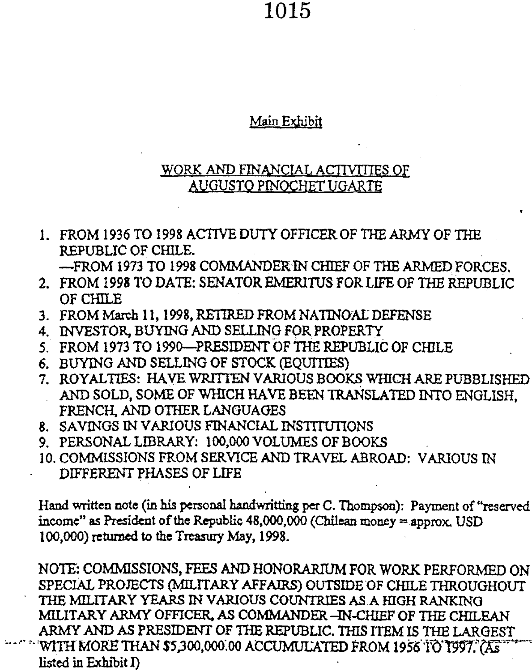#### Main Exhibj

#### WORK AND FINANCIAL ACTIVITIES OF AUGUSTO PINOCHET UGARTE

<sup>1</sup> . FROM 1936 TO 1998 ACTIVE DUTY OFFICER OF THE ARMY OF THE REPUBLIC OF CHILE.

-FROM 1973 TO 1998 COMMANDERIN CHIEF OF THE ARMED FORCES .

- 2. FROM 1998 TO DATE: SENATOR EMERITUS FOR LIFE OF THE REPUBLIC OF CHILE
- 3 . FROM March 11, 1998, RETTRED FROM NATINOAL DEFENSE
- 4. INVESTOR, BUYING AND SELLING FOR PROPERTY
- 5. FROM 1973 TO 1990-PRESIDENT OF THE REPUBLIC OF CHILE
- 6. BUYING AND SELLING OF STOCK (EQUITIES)
- 7. ROYALTIES: HAVE WRITTEN VARIOUS BOOKS WHICH ARE PUBBLISHED AND SOLD, SOME OF WHICH HAVE BEEN TRANSLATED INTO ENGLISH, FRENCH, AND OTHER LANGUAGES
- 8. SAVINGS IN VARIOUS FINANCIAL INSTITUTIONS
- 9. PERSONAL LIBRARY: 100,000 VOLUMES OF BOOKS
- 10. COMMISSIONS FROM SERVICE AND TRAVEL ABROAD: VARIOUS IN DIFFERENT PHASES OF LIFE

Hand written note (in his personal handwritting per C. Thompson): Payment of "reserved income" as President of the Republic  $48,000,000$  (Chilean money = approx. USD 100,000) returned to the Treasury May,1998.

NOTE: COMMISSIONS, FEES AND HONORARIUM FOR WORK PERFORMED ON SPECIÁL PROJECTS (MILTTARY AFFAIRS) OUTSIDE 'OF CHILE THROUGHOUT THE MILITARY YEARS IN VARIOUS COUNTRIES AS A HIGH RANKING MILITARY ARMY OFFICER, AS COMMANDER -4N-CREF OF THE CHILEAN ARMY AND AS PRESIDENT OF THE REPUBLIC. THIS ITEM IS THE LARGEST WITH MORE THAN \$5,300,000.00 ACCUMULATED FROM 1956 'IO'T997. (AS listed in Exhibit  $I$ )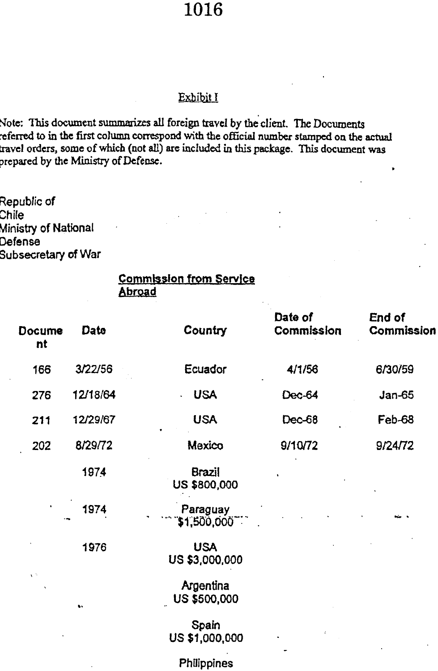#### Exbíbit I

#### Commission from Service Abraad

|                                                                                |                                      | <b>1016</b>                                                                                                                                                                                                                                                           |                       |                      |
|--------------------------------------------------------------------------------|--------------------------------------|-----------------------------------------------------------------------------------------------------------------------------------------------------------------------------------------------------------------------------------------------------------------------|-----------------------|----------------------|
|                                                                                |                                      | Exhibit I                                                                                                                                                                                                                                                             |                       |                      |
|                                                                                | prepared by the Ministry of Defense. | Note: This document summarizes all foreign travel by the client. The Documents<br>referred to in the first column correspond with the official number stamped on the actual<br>travel orders, some of which (not all) are included in this package. This document was |                       |                      |
| Republic of<br>Chile<br>Ministry of National<br>Defense<br>Subsecretary of War |                                      |                                                                                                                                                                                                                                                                       |                       |                      |
|                                                                                | Abroad                               | <u>Commission from Service</u>                                                                                                                                                                                                                                        |                       |                      |
| Docume<br>nt                                                                   | Date                                 | Country                                                                                                                                                                                                                                                               | Date of<br>Commission | End of<br>Commission |
| 166                                                                            | 3/22/56                              | Ecuador                                                                                                                                                                                                                                                               | 4/1/56                | 6/30/59              |
| 276                                                                            | 12/18/64                             | <b>USA</b>                                                                                                                                                                                                                                                            | Dec-64                | $Jan-65$             |
| 211                                                                            | 12/29/67                             | <b>USA</b>                                                                                                                                                                                                                                                            | Dec-68                | Feb-68               |
| 202                                                                            | 8/29/72                              | Mexico                                                                                                                                                                                                                                                                | 9/10/72               | 9/24/72              |
|                                                                                | 1974                                 | <b>Brazil</b><br><b>US \$800,000</b>                                                                                                                                                                                                                                  |                       |                      |
|                                                                                | 1974                                 | Paraguay<br>\$1,500,000 **                                                                                                                                                                                                                                            |                       |                      |
|                                                                                | 1976                                 | <b>USA</b><br>US \$3,000,000                                                                                                                                                                                                                                          |                       |                      |
| $\chi \gtrsim$                                                                 | ١.                                   | Argentina<br>US \$500,000                                                                                                                                                                                                                                             |                       |                      |
|                                                                                |                                      | Spain<br>US \$1,000,000                                                                                                                                                                                                                                               |                       |                      |
|                                                                                |                                      |                                                                                                                                                                                                                                                                       |                       |                      |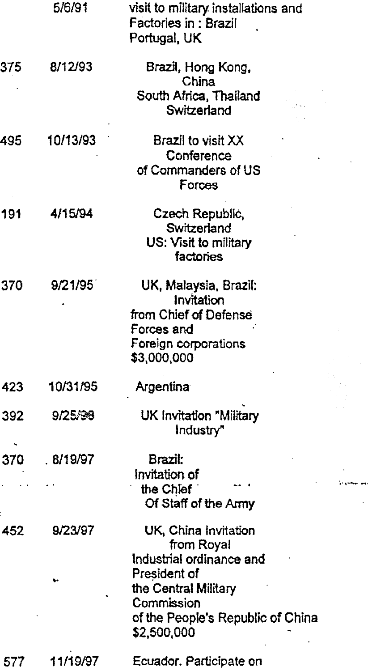|     | 5/6/91   | visit to military installations and<br>Factories in: Brazil<br>Portugal, UK                                                                                              |  |
|-----|----------|--------------------------------------------------------------------------------------------------------------------------------------------------------------------------|--|
| 375 | 8/12/93  | Brazil, Hong Kong,<br>China<br>South Africa, Thailand<br>Switzerland                                                                                                     |  |
| 495 | 10/13/93 | Brazil to visit XX<br>Conference<br>of Commanders of US<br>Forces                                                                                                        |  |
| 191 | 4/15/94  | Czech Republic,<br>Switzerland<br>US: Visit to military<br>factories                                                                                                     |  |
| 370 | 9/21/95  | UK, Malaysia, Brazil:<br>Invitation<br>from Chief of Defense<br>Forces and<br>Foreign corporations<br>\$3,000,000                                                        |  |
| 423 | 10/31/95 | Argentina                                                                                                                                                                |  |
| 392 | 9/25/98  | UK Invitation "Military<br>Industry"                                                                                                                                     |  |
| 370 | .8/19/97 | Brazil:<br>Invitation of<br>the Chief<br>Of Staff of the Army                                                                                                            |  |
| 452 | 9/23/97  | UK, China Invitation<br>from Royal<br>Industrial ordinance and<br>President of<br>the Central Military<br>Commission<br>of the People's Republic of China<br>\$2,500,000 |  |
| 577 | 11/19/97 | Ecuador. Participate on                                                                                                                                                  |  |

ä,

 $\ddot{\phantom{0}}$ 

÷,

 $\hat{\mathcal{A}}$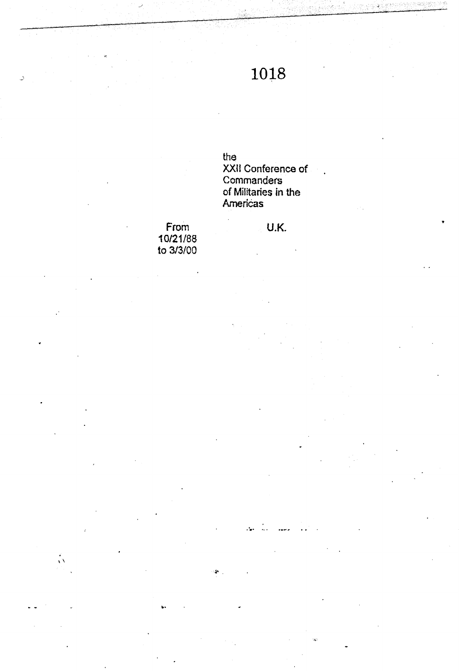the XXII Conference of Commanders<br>of Militaries in the<br>Americas

 $\mathcal{L}_{\bullet}$ 

From<br>10/21/88<br>to 3/3/00

U,

 $\sqrt{3}$ 

U.K.